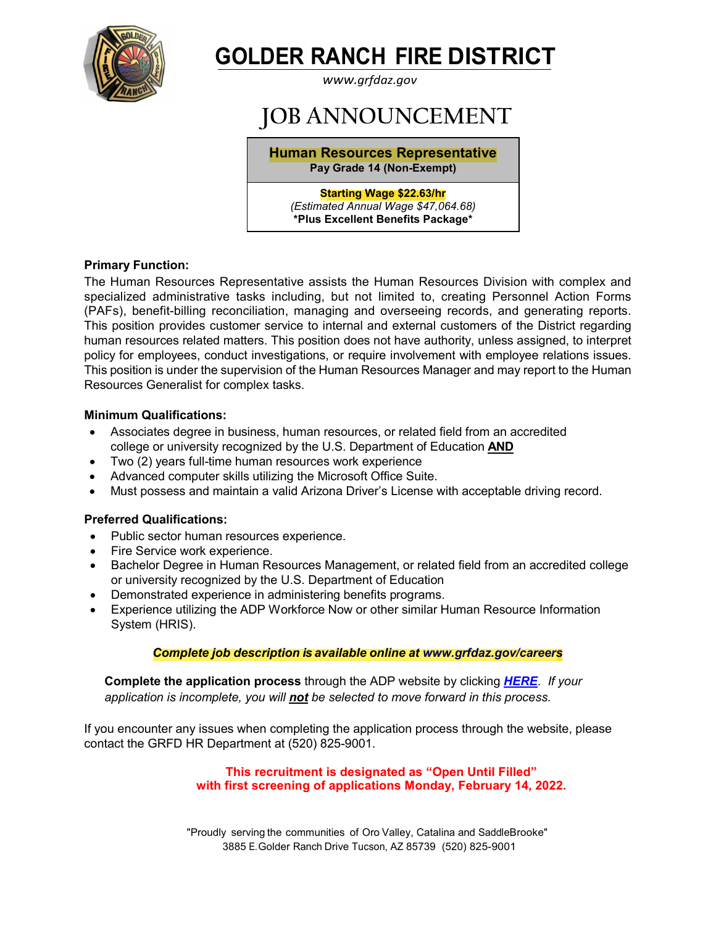

# **GOLDER RANCH FIRE DISTRICT**

*[www.grfdaz.gov](http://www.grfdaz.gov/)*

# **JOB ANNOUNCEMENT**

**Human Resources Representative Pay Grade 14 (Non-Exempt)**

#### **Starting Wage \$22.63/hr**

*(Estimated Annual Wage \$47,064.68)* **\*Plus Excellent Benefits Package\***

# **Primary Function:**

The Human Resources Representative assists the Human Resources Division with complex and specialized administrative tasks including, but not limited to, creating Personnel Action Forms (PAFs), benefit-billing reconciliation, managing and overseeing records, and generating reports. This position provides customer service to internal and external customers of the District regarding human resources related matters. This position does not have authority, unless assigned, to interpret policy for employees, conduct investigations, or require involvement with employee relations issues. This position is under the supervision of the Human Resources Manager and may report to the Human Resources Generalist for complex tasks.

# **Minimum Qualifications:**

- Associates degree in business, human resources, or related field from an accredited college or university recognized by the U.S. Department of Education **AND**
- Two (2) years full-time human resources work experience
- Advanced computer skills utilizing the Microsoft Office Suite.
- Must possess and maintain a valid Arizona Driver's License with acceptable driving record.

# **Preferred Qualifications:**

- Public sector human resources experience.
- Fire Service work experience.
- Bachelor Degree in Human Resources Management, or related field from an accredited college or university recognized by the U.S. Department of Education
- Demonstrated experience in administering benefits programs.
- Experience utilizing the ADP Workforce Now or other similar Human Resource Information System (HRIS).

# *Complete job description is available online at [www.grfdaz.gov/](http://www.grfdaz.gov/)careers*

 **Complete the application process** through the ADP website by clicking *[HERE](https://workforcenow.adp.com/mascsr/default/mdf/recruitment/recruitment.html?cid=7d83f652-9baa-45cc-b6c9-a08b0f77f4f6&ccId=19000101_000001&jobId=434199&source=CC2&lang=en_US)*. *If your application is incomplete, you will not be selected to move forward in this process.*

If you encounter any issues when completing the application process through the website, please contact the GRFD HR Department at (520) 825-9001.

# **This recruitment is designated as "Open Until Filled" with first screening of applications Monday, February 14, 2022.**

"Proudly serving the communities of Oro Valley, Catalina and SaddleBrooke" 3885 E.Golder Ranch Drive Tucson, AZ 85739 (520) 825-9001